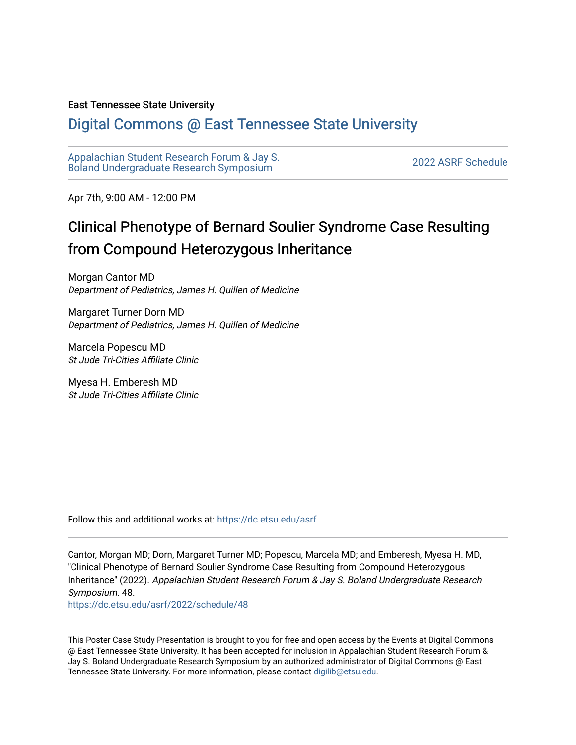#### East Tennessee State University

#### [Digital Commons @ East Tennessee State University](https://dc.etsu.edu/)

[Appalachian Student Research Forum & Jay S.](https://dc.etsu.edu/asrf)  Appalactifalt Student Research Forum & Jay S.<br>Boland Undergraduate Research Symposium

Apr 7th, 9:00 AM - 12:00 PM

#### Clinical Phenotype of Bernard Soulier Syndrome Case Resulting from Compound Heterozygous Inheritance

Morgan Cantor MD Department of Pediatrics, James H. Quillen of Medicine

Margaret Turner Dorn MD Department of Pediatrics, James H. Quillen of Medicine

Marcela Popescu MD St Jude Tri-Cities Affiliate Clinic

Myesa H. Emberesh MD St Jude Tri-Cities Affiliate Clinic

Follow this and additional works at: [https://dc.etsu.edu/asrf](https://dc.etsu.edu/asrf?utm_source=dc.etsu.edu%2Fasrf%2F2022%2Fschedule%2F48&utm_medium=PDF&utm_campaign=PDFCoverPages) 

Cantor, Morgan MD; Dorn, Margaret Turner MD; Popescu, Marcela MD; and Emberesh, Myesa H. MD, "Clinical Phenotype of Bernard Soulier Syndrome Case Resulting from Compound Heterozygous Inheritance" (2022). Appalachian Student Research Forum & Jay S. Boland Undergraduate Research Symposium. 48.

[https://dc.etsu.edu/asrf/2022/schedule/48](https://dc.etsu.edu/asrf/2022/schedule/48?utm_source=dc.etsu.edu%2Fasrf%2F2022%2Fschedule%2F48&utm_medium=PDF&utm_campaign=PDFCoverPages) 

This Poster Case Study Presentation is brought to you for free and open access by the Events at Digital Commons @ East Tennessee State University. It has been accepted for inclusion in Appalachian Student Research Forum & Jay S. Boland Undergraduate Research Symposium by an authorized administrator of Digital Commons @ East Tennessee State University. For more information, please contact [digilib@etsu.edu](mailto:digilib@etsu.edu).